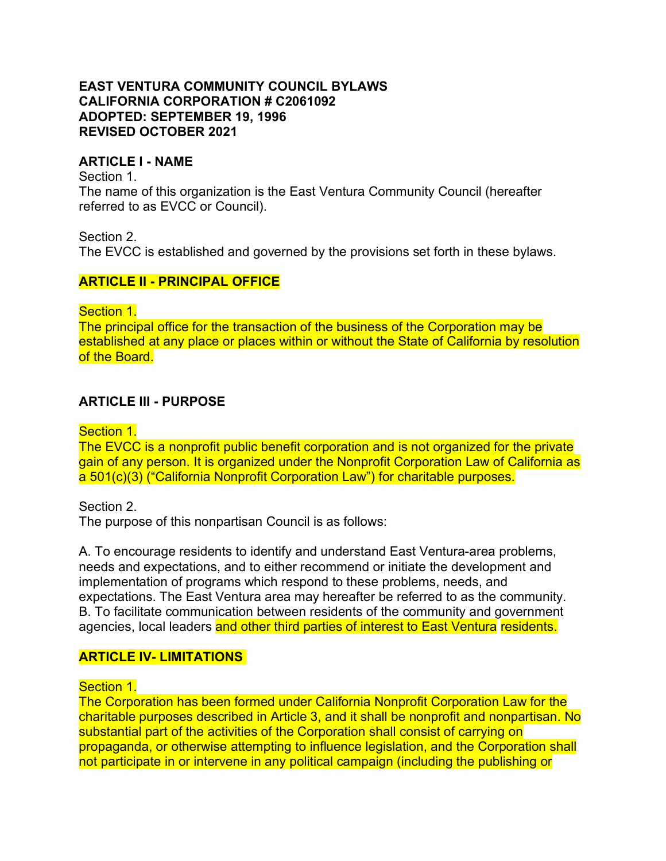### **EAST VENTURA COMMUNITY COUNCIL BYLAWS CALIFORNIA CORPORATION # C2061092 ADOPTED: SEPTEMBER 19, 1996 REVISED OCTOBER 2021**

### **ARTICLE I - NAME**

Section 1.

The name of this organization is the East Ventura Community Council (hereafter referred to as EVCC or Council).

Section 2.

The EVCC is established and governed by the provisions set forth in these bylaws.

### **ARTICLE II - PRINCIPAL OFFICE**

Section 1.

The principal office for the transaction of the business of the Corporation may be established at any place or places within or without the State of California by resolution of the Board.

## **ARTICLE III - PURPOSE**

Section 1.

The EVCC is a nonprofit public benefit corporation and is not organized for the private gain of any person. It is organized under the Nonprofit Corporation Law of California as a 501(c)(3) ("California Nonprofit Corporation Law") for charitable purposes.

Section 2. The purpose of this nonpartisan Council is as follows:

A. To encourage residents to identify and understand East Ventura-area problems, needs and expectations, and to either recommend or initiate the development and implementation of programs which respond to these problems, needs, and expectations. The East Ventura area may hereafter be referred to as the community. B. To facilitate communication between residents of the community and government agencies, local leaders and other third parties of interest to East Ventura residents.

### **ARTICLE IV- LIMITATIONS**

Section 1.

The Corporation has been formed under California Nonprofit Corporation Law for the charitable purposes described in Article 3, and it shall be nonprofit and nonpartisan. No substantial part of the activities of the Corporation shall consist of carrying on propaganda, or otherwise attempting to influence legislation, and the Corporation shall not participate in or intervene in any political campaign (including the publishing or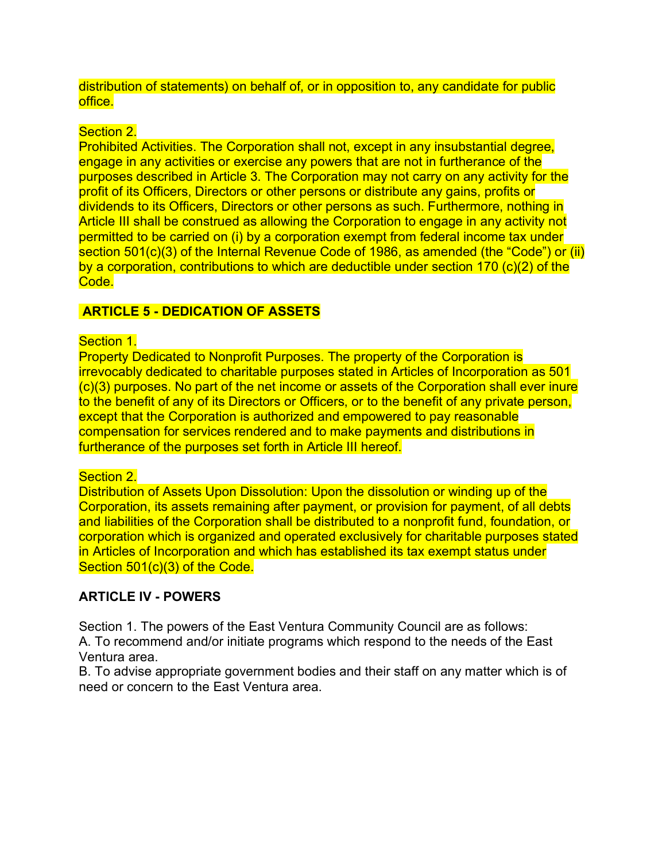distribution of statements) on behalf of, or in opposition to, any candidate for public office.

## Section 2.

Prohibited Activities. The Corporation shall not, except in any insubstantial degree, engage in any activities or exercise any powers that are not in furtherance of the purposes described in Article 3. The Corporation may not carry on any activity for the profit of its Officers, Directors or other persons or distribute any gains, profits or dividends to its Officers, Directors or other persons as such. Furthermore, nothing in Article III shall be construed as allowing the Corporation to engage in any activity not permitted to be carried on (i) by a corporation exempt from federal income tax under section 501(c)(3) of the Internal Revenue Code of 1986, as amended (the "Code") or (ii) by a corporation, contributions to which are deductible under section 170 (c)(2) of the Code.

## **ARTICLE 5 - DEDICATION OF ASSETS**

### Section 1.

Property Dedicated to Nonprofit Purposes. The property of the Corporation is irrevocably dedicated to charitable purposes stated in Articles of Incorporation as 501 (c)(3) purposes. No part of the net income or assets of the Corporation shall ever inure to the benefit of any of its Directors or Officers, or to the benefit of any private person. except that the Corporation is authorized and empowered to pay reasonable compensation for services rendered and to make payments and distributions in furtherance of the purposes set forth in Article III hereof.

### Section 2.

Distribution of Assets Upon Dissolution: Upon the dissolution or winding up of the Corporation, its assets remaining after payment, or provision for payment, of all debts and liabilities of the Corporation shall be distributed to a nonprofit fund, foundation, or corporation which is organized and operated exclusively for charitable purposes stated in Articles of Incorporation and which has established its tax exempt status under Section 501(c)(3) of the Code.

## **ARTICLE IV - POWERS**

Section 1. The powers of the East Ventura Community Council are as follows: A. To recommend and/or initiate programs which respond to the needs of the East Ventura area.

B. To advise appropriate government bodies and their staff on any matter which is of need or concern to the East Ventura area.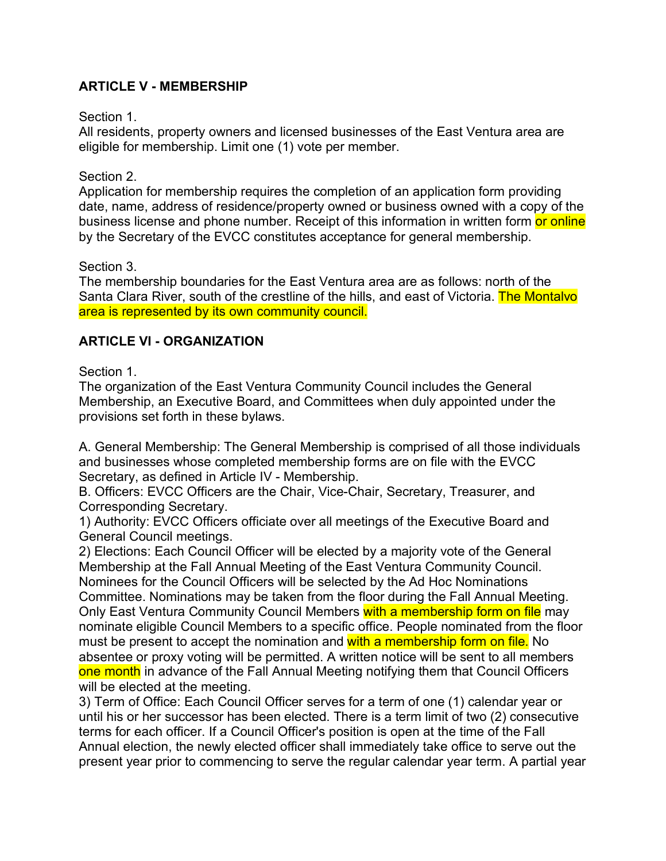# **ARTICLE V - MEMBERSHIP**

#### Section 1.

All residents, property owners and licensed businesses of the East Ventura area are eligible for membership. Limit one (1) vote per member.

#### Section 2.

Application for membership requires the completion of an application form providing date, name, address of residence/property owned or business owned with a copy of the business license and phone number. Receipt of this information in written form or online by the Secretary of the EVCC constitutes acceptance for general membership.

Section 3.

The membership boundaries for the East Ventura area are as follows: north of the Santa Clara River, south of the crestline of the hills, and east of Victoria. The Montalvo area is represented by its own community council.

### **ARTICLE VI - ORGANIZATION**

### Section 1.

The organization of the East Ventura Community Council includes the General Membership, an Executive Board, and Committees when duly appointed under the provisions set forth in these bylaws.

A. General Membership: The General Membership is comprised of all those individuals and businesses whose completed membership forms are on file with the EVCC Secretary, as defined in Article IV - Membership.

B. Officers: EVCC Officers are the Chair, Vice-Chair, Secretary, Treasurer, and Corresponding Secretary.

1) Authority: EVCC Officers officiate over all meetings of the Executive Board and General Council meetings.

2) Elections: Each Council Officer will be elected by a majority vote of the General Membership at the Fall Annual Meeting of the East Ventura Community Council. Nominees for the Council Officers will be selected by the Ad Hoc Nominations Committee. Nominations may be taken from the floor during the Fall Annual Meeting. Only East Ventura Community Council Members with a membership form on file may nominate eligible Council Members to a specific office. People nominated from the floor must be present to accept the nomination and with a membership form on file. No absentee or proxy voting will be permitted. A written notice will be sent to all members one month in advance of the Fall Annual Meeting notifying them that Council Officers will be elected at the meeting.

3) Term of Office: Each Council Officer serves for a term of one (1) calendar year or until his or her successor has been elected. There is a term limit of two (2) consecutive terms for each officer. If a Council Officer's position is open at the time of the Fall Annual election, the newly elected officer shall immediately take office to serve out the present year prior to commencing to serve the regular calendar year term. A partial year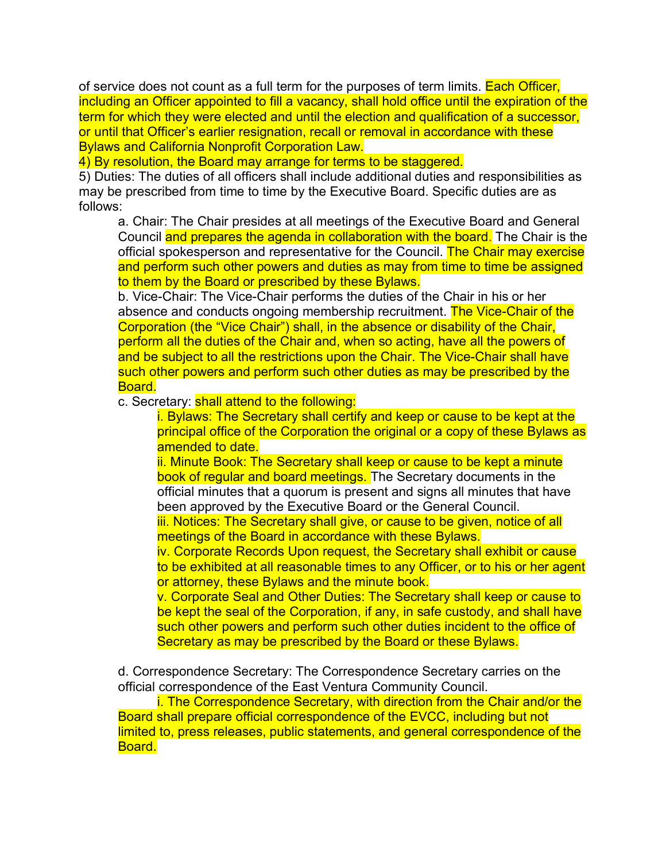of service does not count as a full term for the purposes of term limits. Each Officer, including an Officer appointed to fill a vacancy, shall hold office until the expiration of the term for which they were elected and until the election and qualification of a successor, or until that Officer's earlier resignation, recall or removal in accordance with these Bylaws and California Nonprofit Corporation Law.

4) By resolution, the Board may arrange for terms to be staggered.

5) Duties: The duties of all officers shall include additional duties and responsibilities as may be prescribed from time to time by the Executive Board. Specific duties are as follows:

a. Chair: The Chair presides at all meetings of the Executive Board and General Council and prepares the agenda in collaboration with the board. The Chair is the official spokesperson and representative for the Council. The Chair may exercise and perform such other powers and duties as may from time to time be assigned to them by the Board or prescribed by these Bylaws.

b. Vice-Chair: The Vice-Chair performs the duties of the Chair in his or her absence and conducts ongoing membership recruitment. The Vice-Chair of the Corporation (the "Vice Chair") shall, in the absence or disability of the Chair, perform all the duties of the Chair and, when so acting, have all the powers of and be subject to all the restrictions upon the Chair. The Vice-Chair shall have such other powers and perform such other duties as may be prescribed by the Board.

c. Secretary: shall attend to the following:

i. Bylaws: The Secretary shall certify and keep or cause to be kept at the principal office of the Corporation the original or a copy of these Bylaws as amended to date.

ii. Minute Book: The Secretary shall keep or cause to be kept a minute book of regular and board meetings. The Secretary documents in the official minutes that a quorum is present and signs all minutes that have been approved by the Executive Board or the General Council.

iii. Notices: The Secretary shall give, or cause to be given, notice of all meetings of the Board in accordance with these Bylaws.

iv. Corporate Records Upon request, the Secretary shall exhibit or cause to be exhibited at all reasonable times to any Officer, or to his or her agent or attorney, these Bylaws and the minute book.

v. Corporate Seal and Other Duties: The Secretary shall keep or cause to be kept the seal of the Corporation, if any, in safe custody, and shall have such other powers and perform such other duties incident to the office of Secretary as may be prescribed by the Board or these Bylaws.

d. Correspondence Secretary: The Correspondence Secretary carries on the official correspondence of the East Ventura Community Council.

i. The Correspondence Secretary, with direction from the Chair and/or the Board shall prepare official correspondence of the EVCC, including but not limited to, press releases, public statements, and general correspondence of the Board.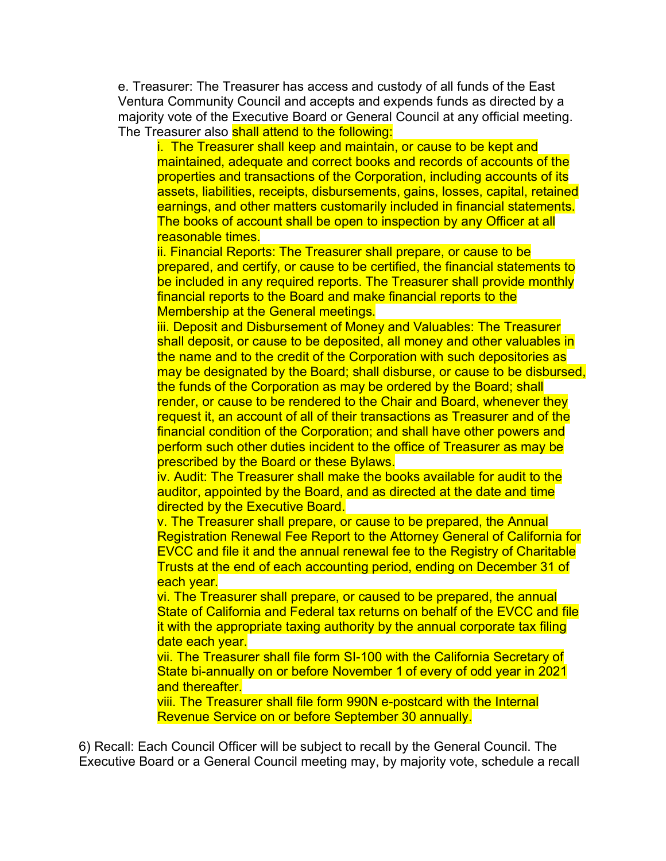e. Treasurer: The Treasurer has access and custody of all funds of the East Ventura Community Council and accepts and expends funds as directed by a majority vote of the Executive Board or General Council at any official meeting. The Treasurer also shall attend to the following:

i. The Treasurer shall keep and maintain, or cause to be kept and maintained, adequate and correct books and records of accounts of the properties and transactions of the Corporation, including accounts of its assets, liabilities, receipts, disbursements, gains, losses, capital, retained earnings, and other matters customarily included in financial statements. The books of account shall be open to inspection by any Officer at all reasonable times.

ii. Financial Reports: The Treasurer shall prepare, or cause to be prepared, and certify, or cause to be certified, the financial statements to be included in any required reports. The Treasurer shall provide monthly financial reports to the Board and make financial reports to the Membership at the General meetings.

iii. Deposit and Disbursement of Money and Valuables: The Treasurer shall deposit, or cause to be deposited, all money and other valuables in the name and to the credit of the Corporation with such depositories as may be designated by the Board; shall disburse, or cause to be disbursed, the funds of the Corporation as may be ordered by the Board; shall render, or cause to be rendered to the Chair and Board, whenever they request it, an account of all of their transactions as Treasurer and of the financial condition of the Corporation; and shall have other powers and perform such other duties incident to the office of Treasurer as may be prescribed by the Board or these Bylaws.

iv. Audit: The Treasurer shall make the books available for audit to the auditor, appointed by the Board, and as directed at the date and time directed by the Executive Board.

v. The Treasurer shall prepare, or cause to be prepared, the Annual Registration Renewal Fee Report to the Attorney General of California for EVCC and file it and the annual renewal fee to the Registry of Charitable Trusts at the end of each accounting period, ending on December 31 of each year.

vi. The Treasurer shall prepare, or caused to be prepared, the annual State of California and Federal tax returns on behalf of the EVCC and file it with the appropriate taxing authority by the annual corporate tax filing date each year.

vii. The Treasurer shall file form SI-100 with the California Secretary of State bi-annually on or before November 1 of every of odd year in 2021 and thereafter.

viii. The Treasurer shall file form 990N e-postcard with the Internal Revenue Service on or before September 30 annually.

6) Recall: Each Council Officer will be subject to recall by the General Council. The Executive Board or a General Council meeting may, by majority vote, schedule a recall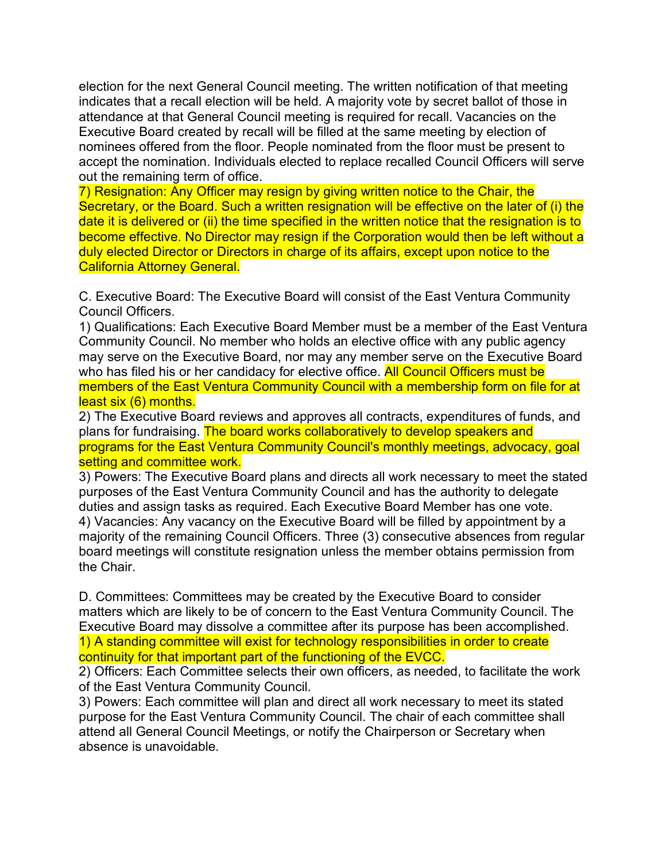election for the next General Council meeting. The written notification of that meeting indicates that a recall election will be held. A majority vote by secret ballot of those in attendance at that General Council meeting is required for recall. Vacancies on the Executive Board created by recall will be filled at the same meeting by election of nominees offered from the floor. People nominated from the floor must be present to accept the nomination. Individuals elected to replace recalled Council Officers will serve out the remaining term of office.

7) Resignation: Any Officer may resign by giving written notice to the Chair, the Secretary, or the Board. Such a written resignation will be effective on the later of (i) the date it is delivered or (ii) the time specified in the written notice that the resignation is to become effective. No Director may resign if the Corporation would then be left without a duly elected Director or Directors in charge of its affairs, except upon notice to the California Attorney General.

C. Executive Board: The Executive Board will consist of the East Ventura Community Council Officers.

1) Qualifications: Each Executive Board Member must be a member of the East Ventura Community Council. No member who holds an elective office with any public agency may serve on the Executive Board, nor may any member serve on the Executive Board who has filed his or her candidacy for elective office. All Council Officers must be members of the East Ventura Community Council with a membership form on file for at least six (6) months.

2) The Executive Board reviews and approves all contracts, expenditures of funds, and plans for fundraising. The board works collaboratively to develop speakers and programs for the East Ventura Community Council's monthly meetings, advocacy, goal setting and committee work.

3) Powers: The Executive Board plans and directs all work necessary to meet the stated purposes of the East Ventura Community Council and has the authority to delegate duties and assign tasks as required. Each Executive Board Member has one vote. 4) Vacancies: Any vacancy on the Executive Board will be filled by appointment by a majority of the remaining Council Officers. Three (3) consecutive absences from regular board meetings will constitute resignation unless the member obtains permission from the Chair.

D. Committees: Committees may be created by the Executive Board to consider matters which are likely to be of concern to the East Ventura Community Council. The Executive Board may dissolve a committee after its purpose has been accomplished. 1) A standing committee will exist for technology responsibilities in order to create continuity for that important part of the functioning of the EVCC.

2) Officers: Each Committee selects their own officers, as needed, to facilitate the work of the East Ventura Community Council.

3) Powers: Each committee will plan and direct all work necessary to meet its stated purpose for the East Ventura Community Council. The chair of each committee shall attend all General Council Meetings, or notify the Chairperson or Secretary when absence is unavoidable.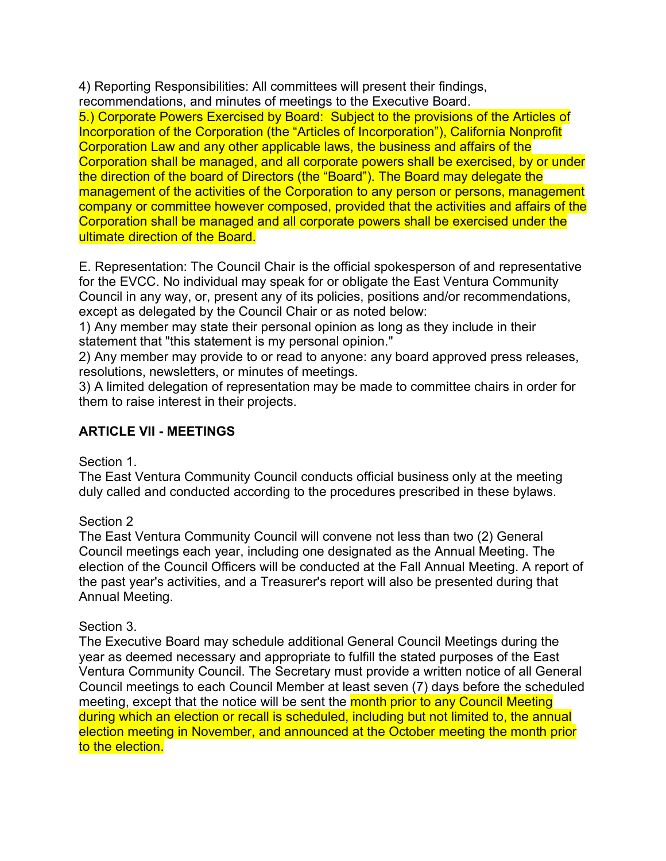4) Reporting Responsibilities: All committees will present their findings, recommendations, and minutes of meetings to the Executive Board.

5.) Corporate Powers Exercised by Board: Subject to the provisions of the Articles of Incorporation of the Corporation (the "Articles of Incorporation"), California Nonprofit Corporation Law and any other applicable laws, the business and affairs of the Corporation shall be managed, and all corporate powers shall be exercised, by or under the direction of the board of Directors (the "Board"). The Board may delegate the management of the activities of the Corporation to any person or persons, management company or committee however composed, provided that the activities and affairs of the Corporation shall be managed and all corporate powers shall be exercised under the ultimate direction of the Board.

E. Representation: The Council Chair is the official spokesperson of and representative for the EVCC. No individual may speak for or obligate the East Ventura Community Council in any way, or, present any of its policies, positions and/or recommendations, except as delegated by the Council Chair or as noted below:

1) Any member may state their personal opinion as long as they include in their statement that "this statement is my personal opinion."

2) Any member may provide to or read to anyone: any board approved press releases, resolutions, newsletters, or minutes of meetings.

3) A limited delegation of representation may be made to committee chairs in order for them to raise interest in their projects.

# **ARTICLE VII - MEETINGS**

Section 1.

The East Ventura Community Council conducts official business only at the meeting duly called and conducted according to the procedures prescribed in these bylaws.

## Section 2

The East Ventura Community Council will convene not less than two (2) General Council meetings each year, including one designated as the Annual Meeting. The election of the Council Officers will be conducted at the Fall Annual Meeting. A report of the past year's activities, and a Treasurer's report will also be presented during that Annual Meeting.

## Section 3.

The Executive Board may schedule additional General Council Meetings during the year as deemed necessary and appropriate to fulfill the stated purposes of the East Ventura Community Council. The Secretary must provide a written notice of all General Council meetings to each Council Member at least seven (7) days before the scheduled meeting, except that the notice will be sent the month prior to any Council Meeting during which an election or recall is scheduled, including but not limited to, the annual election meeting in November, and announced at the October meeting the month prior to the election.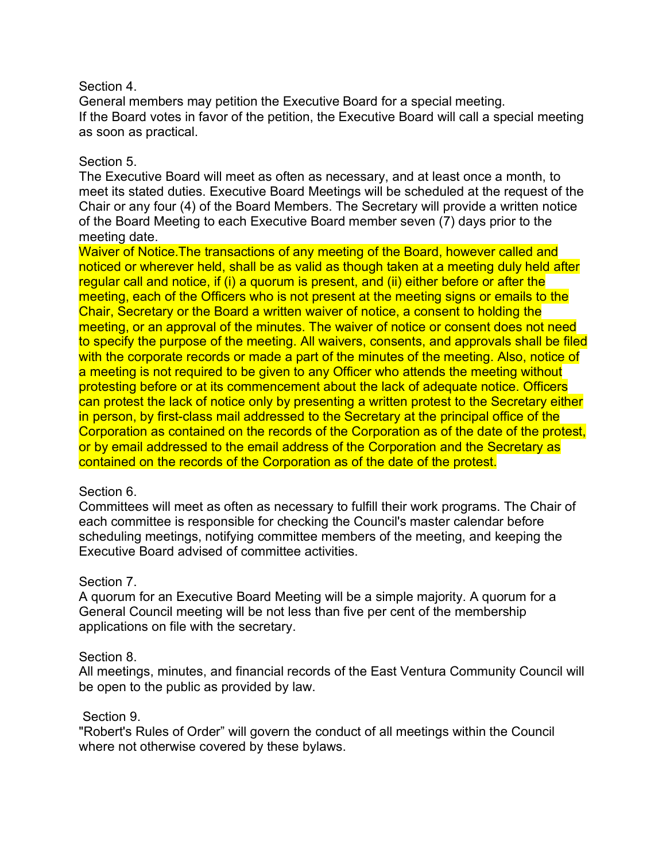#### Section 4.

General members may petition the Executive Board for a special meeting. If the Board votes in favor of the petition, the Executive Board will call a special meeting as soon as practical.

#### Section 5.

The Executive Board will meet as often as necessary, and at least once a month, to meet its stated duties. Executive Board Meetings will be scheduled at the request of the Chair or any four (4) of the Board Members. The Secretary will provide a written notice of the Board Meeting to each Executive Board member seven (7) days prior to the meeting date.

Waiver of Notice.The transactions of any meeting of the Board, however called and noticed or wherever held, shall be as valid as though taken at a meeting duly held after regular call and notice, if (i) a quorum is present, and (ii) either before or after the meeting, each of the Officers who is not present at the meeting signs or emails to the Chair, Secretary or the Board a written waiver of notice, a consent to holding the meeting, or an approval of the minutes. The waiver of notice or consent does not need to specify the purpose of the meeting. All waivers, consents, and approvals shall be filed with the corporate records or made a part of the minutes of the meeting. Also, notice of a meeting is not required to be given to any Officer who attends the meeting without protesting before or at its commencement about the lack of adequate notice. Officers can protest the lack of notice only by presenting a written protest to the Secretary either in person, by first-class mail addressed to the Secretary at the principal office of the Corporation as contained on the records of the Corporation as of the date of the protest, or by email addressed to the email address of the Corporation and the Secretary as contained on the records of the Corporation as of the date of the protest.

#### Section 6.

Committees will meet as often as necessary to fulfill their work programs. The Chair of each committee is responsible for checking the Council's master calendar before scheduling meetings, notifying committee members of the meeting, and keeping the Executive Board advised of committee activities.

### Section 7.

A quorum for an Executive Board Meeting will be a simple majority. A quorum for a General Council meeting will be not less than five per cent of the membership applications on file with the secretary.

#### Section 8.

All meetings, minutes, and financial records of the East Ventura Community Council will be open to the public as provided by law.

#### Section 9.

"Robert's Rules of Order" will govern the conduct of all meetings within the Council where not otherwise covered by these bylaws.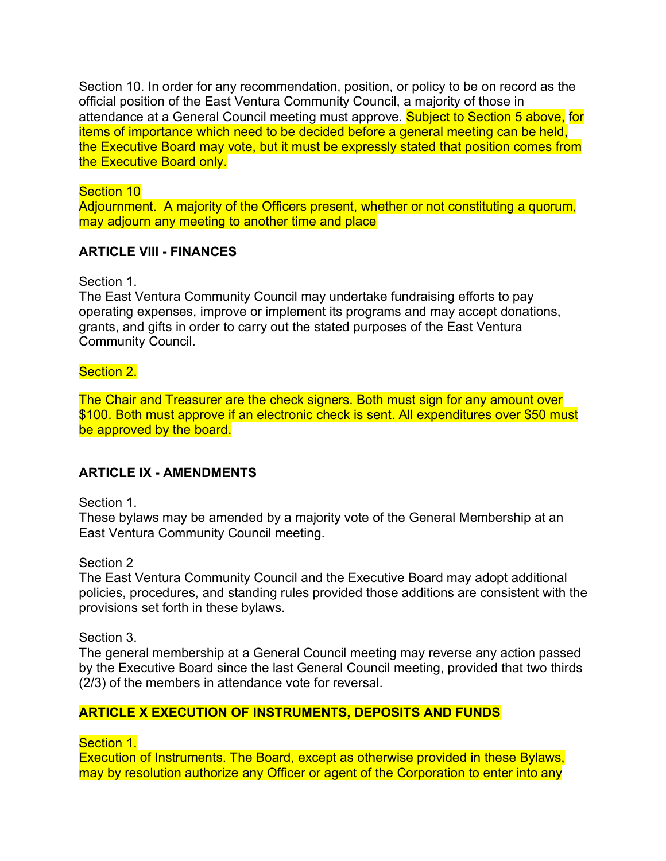Section 10. In order for any recommendation, position, or policy to be on record as the official position of the East Ventura Community Council, a majority of those in attendance at a General Council meeting must approve. Subject to Section 5 above, for items of importance which need to be decided before a general meeting can be held, the Executive Board may vote, but it must be expressly stated that position comes from the Executive Board only.

#### Section 10

Adjournment. A majority of the Officers present, whether or not constituting a quorum, may adjourn any meeting to another time and place

### **ARTICLE VIII - FINANCES**

Section 1.

The East Ventura Community Council may undertake fundraising efforts to pay operating expenses, improve or implement its programs and may accept donations, grants, and gifts in order to carry out the stated purposes of the East Ventura Community Council.

### Section 2.

The Chair and Treasurer are the check signers. Both must sign for any amount over \$100. Both must approve if an electronic check is sent. All expenditures over \$50 must be approved by the board.

## **ARTICLE IX - AMENDMENTS**

Section 1.

These bylaws may be amended by a majority vote of the General Membership at an East Ventura Community Council meeting.

Section 2

The East Ventura Community Council and the Executive Board may adopt additional policies, procedures, and standing rules provided those additions are consistent with the provisions set forth in these bylaws.

Section 3.

The general membership at a General Council meeting may reverse any action passed by the Executive Board since the last General Council meeting, provided that two thirds (2/3) of the members in attendance vote for reversal.

## **ARTICLE X EXECUTION OF INSTRUMENTS, DEPOSITS AND FUNDS**

Section 1.

Execution of Instruments. The Board, except as otherwise provided in these Bylaws, may by resolution authorize any Officer or agent of the Corporation to enter into any